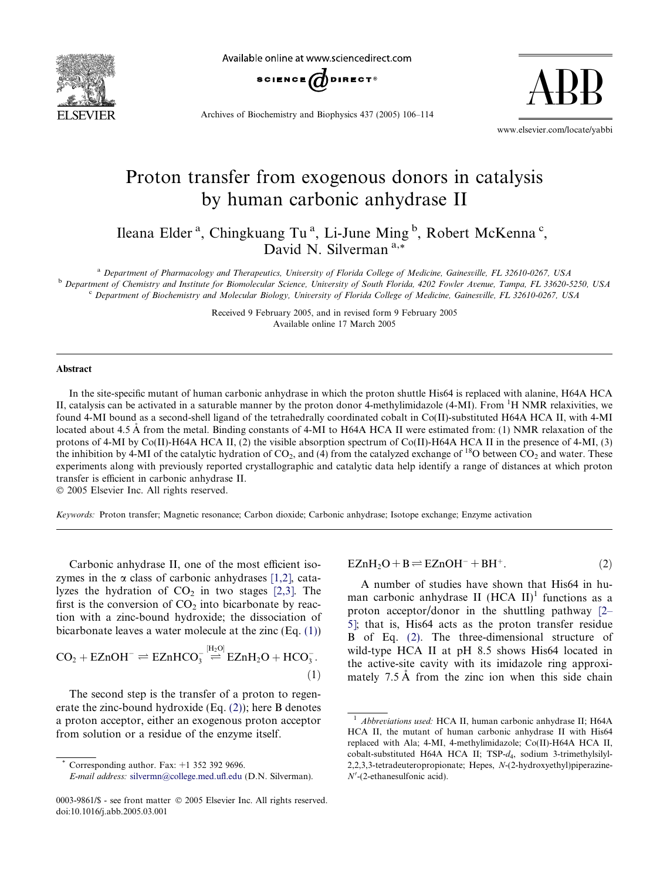<span id="page-0-0"></span>

Available online at www.sciencedirect.com



Archives of Biochemistry and Biophysics 437 (2005) 106–114

www.elsevier.com/locate/yabbi

ABB

# Proton transfer from exogenous donors in catalysis by human carbonic anhydrase II

Ileana Elder<sup>a</sup>, Chingkuang Tu<sup>a</sup>, Li-June Ming<sup>b</sup>, Robert McKenna<sup>c</sup>, David N. Silverman<sup>a,\*</sup>

<sup>a</sup> Department of Pharmacology and Therapeutics, University of Florida College of Medicine, Gainesville, FL 32610-0267, USA <sup>b</sup> Department of Chemistry and Institute for Biomolecular Science, University of South Florida, 4202 Fowler Avenue, Tampa, FL 33620-5250, USA <sup>c</sup> Department of Biochemistry and Molecular Biology, University of Florida College of Medicine, Gainesville, FL 32610-0267, USA

> Received 9 February 2005, and in revised form 9 February 2005 Available online 17 March 2005

#### Abstract

In the site-specific mutant of human carbonic anhydrase in which the proton shuttle His64 is replaced with alanine, H64A HCA II, catalysis can be activated in a saturable manner by the proton donor 4-methylimidazole (4-MI). From <sup>1</sup>H NMR relaxivities, we found 4-MI bound as a second-shell ligand of the tetrahedrally coordinated cobalt in Co(II)-substituted H64A HCA II, with 4-MI located about 4.5 Å from the metal. Binding constants of 4-MI to H64A HCA II were estimated from: (1) NMR relaxation of the protons of 4-MI by Co(II)-H64A HCA II, (2) the visible absorption spectrum of Co(II)-H64A HCA II in the presence of 4-MI, (3) the inhibition by 4-MI of the catalytic hydration of  $CO_2$ , and (4) from the catalyzed exchange of <sup>18</sup>O between  $CO_2$  and water. These experiments along with previously reported crystallographic and catalytic data help identify a range of distances at which proton transfer is efficient in carbonic anhydrase II.

2005 Elsevier Inc. All rights reserved.

Keywords: Proton transfer; Magnetic resonance; Carbon dioxide; Carbonic anhydrase; Isotope exchange; Enzyme activation

Carbonic anhydrase II, one of the most efficient isozymes in the  $\alpha$  class of carbonic anhydrases [\[1,2\]](#page-8-0), catalyzes the hydration of  $CO<sub>2</sub>$  in two stages [\[2,3\]](#page-8-0). The first is the conversion of  $CO<sub>2</sub>$  into bicarbonate by reaction with a zinc-bound hydroxide; the dissociation of bicarbonate leaves a water molecule at the zinc (Eq. (1))

$$
CO2 + EZnOH- \rightleftharpoons EZnHCO3[H2O] \stackrel{[H2O]}{\rightleftharpoons} EZnH2O + HCO3-.
$$
\n(1)

The second step is the transfer of a proton to regenerate the zinc-bound hydroxide (Eq. (2)); here B denotes a proton acceptor, either an exogenous proton acceptor from solution or a residue of the enzyme itself.

$$
EZnH2O + B \rightleftharpoons EZnOH- + BH+.
$$
 (2)

A number of studies have shown that His64 in human carbonic anhydrase II  $(HCA II)^1$  functions as a proton acceptor/donor in the shuttling pathway [\[2–](#page-8-0) [5\]](#page-8-0); that is, His64 acts as the proton transfer residue B of Eq. (2). The three-dimensional structure of wild-type HCA II at pH 8.5 shows His64 located in the active-site cavity with its imidazole ring approximately  $7.5 \text{ Å}$  from the zinc ion when this side chain

Corresponding author. Fax:  $+1$  352 392 9696.

E-mail address: [silvermn@college.med.ufl.edu](mailto:silvermn@college.med.ufl.edu) (D.N. Silverman).

<sup>0003-9861/\$ -</sup> see front matter © 2005 Elsevier Inc. All rights reserved. doi:10.1016/j.abb.2005.03.001

<sup>1</sup> Abbreviations used: HCA II, human carbonic anhydrase II; H64A HCA II, the mutant of human carbonic anhydrase II with His64 replaced with Ala; 4-MI, 4-methylimidazole; Co(II)-H64A HCA II, cobalt-substituted H64A HCA II; TSP- $d_A$ , sodium 3-trimethylsilyl-2,2,3,3-tetradeuteropropionate; Hepes, N-(2-hydroxyethyl)piperazine- $N'$ -(2-ethanesulfonic acid).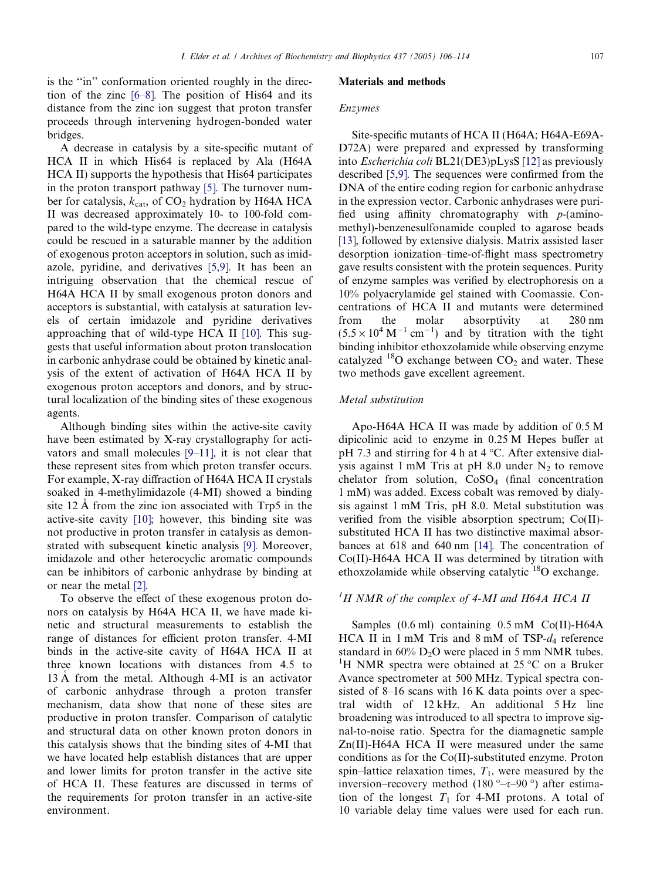is the "in" conformation oriented roughly in the direction of the zinc [\[6–8\].](#page-8-0) The position of His64 and its distance from the zinc ion suggest that proton transfer proceeds through intervening hydrogen-bonded water bridges.

A decrease in catalysis by a site-specific mutant of HCA II in which His64 is replaced by Ala (H64A HCA II) supports the hypothesis that His64 participates in the proton transport pathway [\[5\]](#page-8-0). The turnover number for catalysis,  $k_{cat}$ , of CO<sub>2</sub> hydration by H64A HCA II was decreased approximately 10- to 100-fold compared to the wild-type enzyme. The decrease in catalysis could be rescued in a saturable manner by the addition of exogenous proton acceptors in solution, such as imidazole, pyridine, and derivatives [\[5,9\].](#page-8-0) It has been an intriguing observation that the chemical rescue of H64A HCA II by small exogenous proton donors and acceptors is substantial, with catalysis at saturation levels of certain imidazole and pyridine derivatives approaching that of wild-type HCA II [\[10\].](#page-8-0) This suggests that useful information about proton translocation in carbonic anhydrase could be obtained by kinetic analysis of the extent of activation of H64A HCA II by exogenous proton acceptors and donors, and by structural localization of the binding sites of these exogenous agents.

Although binding sites within the active-site cavity have been estimated by X-ray crystallography for activators and small molecules [\[9–11\]](#page-8-0), it is not clear that these represent sites from which proton transfer occurs. For example, X-ray diffraction of H64A HCA II crystals soaked in 4-methylimidazole (4-MI) showed a binding site  $12 \text{ Å}$  from the zinc ion associated with Trp5 in the active-site cavity [\[10\]](#page-8-0); however, this binding site was not productive in proton transfer in catalysis as demonstrated with subsequent kinetic analysis [\[9\].](#page-8-0) Moreover, imidazole and other heterocyclic aromatic compounds can be inhibitors of carbonic anhydrase by binding at or near the metal [\[2\]](#page-8-0).

To observe the effect of these exogenous proton donors on catalysis by H64A HCA II, we have made kinetic and structural measurements to establish the range of distances for efficient proton transfer. 4-MI binds in the active-site cavity of H64A HCA II at three known locations with distances from 4.5 to 13 A from the metal. Although 4-MI is an activator of carbonic anhydrase through a proton transfer mechanism, data show that none of these sites are productive in proton transfer. Comparison of catalytic and structural data on other known proton donors in this catalysis shows that the binding sites of 4-MI that we have located help establish distances that are upper and lower limits for proton transfer in the active site of HCA II. These features are discussed in terms of the requirements for proton transfer in an active-site environment.

#### Materials and methods

#### Enzymes

Site-specific mutants of HCA II (H64A; H64A-E69A-D72A) were prepared and expressed by transforming into Escherichia coli BL21(DE3)pLysS [\[12\]](#page-8-0) as previously described [\[5,9\].](#page-8-0) The sequences were confirmed from the DNA of the entire coding region for carbonic anhydrase in the expression vector. Carbonic anhydrases were purified using affinity chromatography with p-(aminomethyl)-benzenesulfonamide coupled to agarose beads [\[13\],](#page-8-0) followed by extensive dialysis. Matrix assisted laser desorption ionization–time-of-flight mass spectrometry gave results consistent with the protein sequences. Purity of enzyme samples was verified by electrophoresis on a 10% polyacrylamide gel stained with Coomassie. Concentrations of HCA II and mutants were determined from the molar absorptivity at 280 nm  $(5.5 \times 10^4 \text{ M}^{-1} \text{ cm}^{-1})$  and by titration with the tight binding inhibitor ethoxzolamide while observing enzyme catalyzed  $^{18}$ O exchange between CO<sub>2</sub> and water. These two methods gave excellent agreement.

# Metal substitution

Apo-H64A HCA II was made by addition of 0.5 M dipicolinic acid to enzyme in 0.25 M Hepes buffer at pH 7.3 and stirring for 4 h at  $4^{\circ}$ C. After extensive dialysis against 1 mM Tris at pH 8.0 under  $N_2$  to remove chelator from solution, CoSO<sub>4</sub> (final concentration 1 mM) was added. Excess cobalt was removed by dialysis against 1 mM Tris, pH 8.0. Metal substitution was verified from the visible absorption spectrum; Co(II) substituted HCA II has two distinctive maximal absorbances at 618 and 640 nm [\[14\].](#page-8-0) The concentration of Co(II)-H64A HCA II was determined by titration with ethoxzolamide while observing catalytic  $^{18}$ O exchange.

# ${}^{1}H$  NMR of the complex of 4-MI and H64A HCA II

Samples (0.6 ml) containing 0.5 mM Co(II)-H64A HCA II in 1 mM Tris and 8 mM of TSP- $d_4$  reference standard in  $60\%$  D<sub>2</sub>O were placed in 5 mm NMR tubes. <sup>1</sup>H NMR spectra were obtained at 25 °C on a Bruker Avance spectrometer at 500 MHz. Typical spectra consisted of 8–16 scans with 16 K data points over a spectral width of 12 kHz. An additional 5 Hz line broadening was introduced to all spectra to improve signal-to-noise ratio. Spectra for the diamagnetic sample Zn(II)-H64A HCA II were measured under the same conditions as for the Co(II)-substituted enzyme. Proton spin–lattice relaxation times,  $T_1$ , were measured by the inversion–recovery method  $(180^\circ-\tau-90^\circ)$  after estimation of the longest  $T_1$  for 4-MI protons. A total of 10 variable delay time values were used for each run.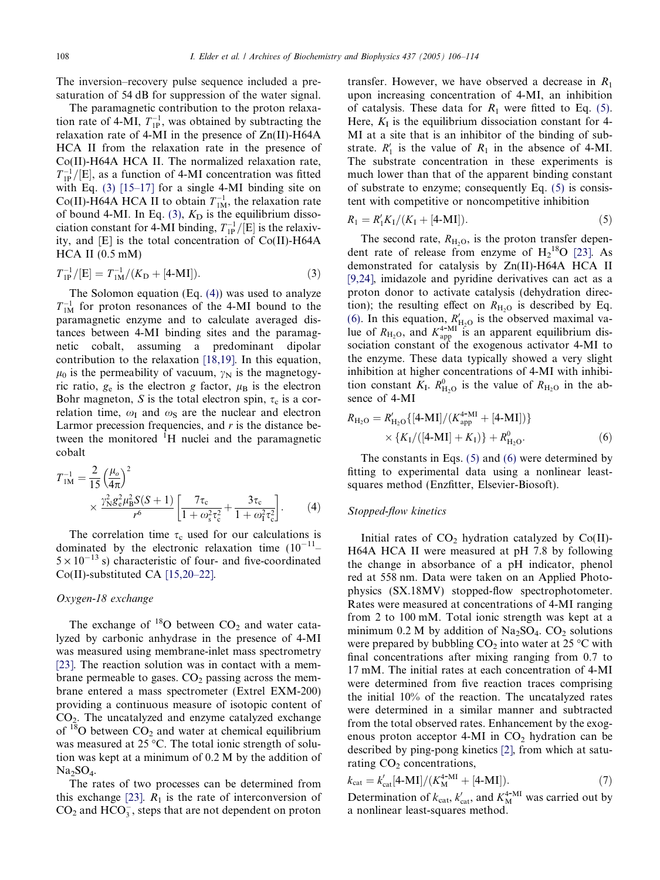<span id="page-2-0"></span>The inversion–recovery pulse sequence included a presaturation of 54 dB for suppression of the water signal.

The paramagnetic contribution to the proton relaxation rate of 4-MI,  $T_{1P}^{-1}$ , was obtained by subtracting the relaxation rate of 4-MI in the presence of Zn(II)-H64A HCA II from the relaxation rate in the presence of Co(II)-H64A HCA II. The normalized relaxation rate,  $T_{1P}^{-1}/[E]$ , as a function of 4-MI concentration was fitted with Eq. (3) [\[15–17\]](#page-8-0) for a single 4-MI binding site on Co(II)-H64A HCA II to obtain  $T_{1M}^{-1}$ , the relaxation rate of bound 4-MI. In Eq. (3),  $K<sub>D</sub>$  is the equilibrium dissociation constant for 4-MI binding,  $T_{1P}^{-1}/[E]$  is the relaxivity, and [E] is the total concentration of Co(II)-H64A  $HCA$  II  $(0.5$  mM $)$ 

$$
T_{1P}^{-1}/[E] = T_{1M}^{-1}/(K_{D} + [4-MI]).
$$
\n(3)

The Solomon equation  $(Eq. (4))$  was used to analyze  $T_{1M}^{-1}$  for proton resonances of the 4-MI bound to the paramagnetic enzyme and to calculate averaged distances between 4-MI binding sites and the paramagnetic cobalt, assuming a predominant dipolar contribution to the relaxation [\[18,19\]](#page-8-0). In this equation,  $\mu_0$  is the permeability of vacuum,  $\gamma_N$  is the magnetogyric ratio,  $g_e$  is the electron g factor,  $\mu_B$  is the electron Bohr magneton, S is the total electron spin,  $\tau_c$  is a correlation time,  $\omega_I$  and  $\omega_S$  are the nuclear and electron Larmor precession frequencies, and  $r$  is the distance between the monitored <sup>1</sup>H nuclei and the paramagnetic cobalt

$$
T_{1M}^{-1} = \frac{2}{15} \left(\frac{\mu_o}{4\pi}\right)^2
$$
  
 
$$
\times \frac{\gamma_{\rm N}^2 g_{\rm e}^2 \mu_{\rm B}^2 S(S+1)}{r^6} \left[ \frac{7\tau_{\rm c}}{1 + \omega_{\rm s}^2 \tau_{\rm c}^2} + \frac{3\tau_{\rm c}}{1 + \omega_{\rm I}^2 \tau_{\rm c}^2} \right].
$$
 (4)

The correlation time  $\tau_c$  used for our calculations is dominated by the electronic relaxation time  $(10^{-11} 5 \times 10^{-13}$  s) characteristic of four- and five-coordinated Co(II)-substituted CA [\[15,20–22\]](#page-8-0).

### Oxygen-18 exchange

The exchange of  $^{18}O$  between  $CO<sub>2</sub>$  and water catalyzed by carbonic anhydrase in the presence of 4-MI was measured using membrane-inlet mass spectrometry [\[23\]](#page-8-0). The reaction solution was in contact with a membrane permeable to gases.  $CO<sub>2</sub>$  passing across the membrane entered a mass spectrometer (Extrel EXM-200) providing a continuous measure of isotopic content of  $CO<sub>2</sub>$ . The uncatalyzed and enzyme catalyzed exchange of  $18$ O between CO<sub>2</sub> and water at chemical equilibrium was measured at  $25 \degree C$ . The total ionic strength of solution was kept at a minimum of 0.2 M by the addition of  $Na<sub>2</sub>SO<sub>4</sub>$ .

The rates of two processes can be determined from this exchange [\[23\]](#page-8-0).  $R_1$  is the rate of interconversion of  $CO<sub>2</sub>$  and  $HCO<sub>3</sub><sup>-</sup>$ , steps that are not dependent on proton

transfer. However, we have observed a decrease in  $R_1$ upon increasing concentration of 4-MI, an inhibition of catalysis. These data for  $R_1$  were fitted to Eq. (5). Here,  $K_I$  is the equilibrium dissociation constant for 4-MI at a site that is an inhibitor of the binding of substrate.  $R'_1$  is the value of  $R_1$  in the absence of 4-MI. The substrate concentration in these experiments is much lower than that of the apparent binding constant of substrate to enzyme; consequently Eq. (5) is consistent with competitive or noncompetitive inhibition

$$
R_1 = R_1' K_1 / (K_1 + [4-MI]). \tag{5}
$$

The second rate,  $R_{\text{H}_2O}$ , is the proton transfer dependent rate of release from enzyme of  $H_2^{18}O$  [\[23\]](#page-8-0). As demonstrated for catalysis by Zn(II)-H64A HCA II [\[9,24\],](#page-8-0) imidazole and pyridine derivatives can act as a proton donor to activate catalysis (dehydration direction); the resulting effect on  $R_{\text{H}_2\text{O}}$  is described by Eq. (6). In this equation,  $R'_{\text{H}_2O}$  is the observed maximal value of  $R_{\text{H}_2O}$ , and  $K^{4-MI}_{\text{app}}$  is an apparent equilibrium dissociation constant of the exogenous activator 4-MI to the enzyme. These data typically showed a very slight inhibition at higher concentrations of 4-MI with inhibition constant  $K_I$ .  $R_{\text{H}_2\text{O}}^0$  is the value of  $R_{\text{H}_2\text{O}}$  in the absence of 4-MI

$$
R_{\text{H}_2\text{O}} = R'_{\text{H}_2\text{O}}\{[4\text{-MI}]/(K_{\text{app}}^{4\text{-MI}} + [4\text{-MI}])\}
$$
  
 
$$
\times \{K_1/([4\text{-MI}] + K_1)\} + R_{\text{H}_2\text{O}}^0.
$$
 (6)

The constants in Eqs. (5) and (6) were determined by fitting to experimental data using a nonlinear leastsquares method (Enzfitter, Elsevier-Biosoft).

#### Stopped-flow kinetics

Initial rates of  $CO<sub>2</sub>$  hydration catalyzed by Co(II)-H64A HCA II were measured at pH 7.8 by following the change in absorbance of a pH indicator, phenol red at 558 nm. Data were taken on an Applied Photophysics (SX.18MV) stopped-flow spectrophotometer. Rates were measured at concentrations of 4-MI ranging from 2 to 100 mM. Total ionic strength was kept at a minimum 0.2 M by addition of  $Na<sub>2</sub>SO<sub>4</sub>$ .  $CO<sub>2</sub>$  solutions were prepared by bubbling  $CO_2$  into water at 25 °C with final concentrations after mixing ranging from 0.7 to 17 mM. The initial rates at each concentration of 4-MI were determined from five reaction traces comprising the initial 10% of the reaction. The uncatalyzed rates were determined in a similar manner and subtracted from the total observed rates. Enhancement by the exogenous proton acceptor 4-MI in  $CO<sub>2</sub>$  hydration can be described by ping-pong kinetics [\[2\],](#page-8-0) from which at saturating  $CO<sub>2</sub>$  concentrations,

$$
k_{\rm cat} = k'_{\rm cat}[4\text{-} \text{MI}]/(K_{\rm M}^{4\text{-} \text{MI}} + [4\text{-} \text{MI}]). \tag{7}
$$

Determination of  $k_{\text{cat}}$ ,  $k'_{\text{cat}}$ , and  $K_{\text{M}}^{4-\text{MI}}$  was carried out by a nonlinear least-squares method.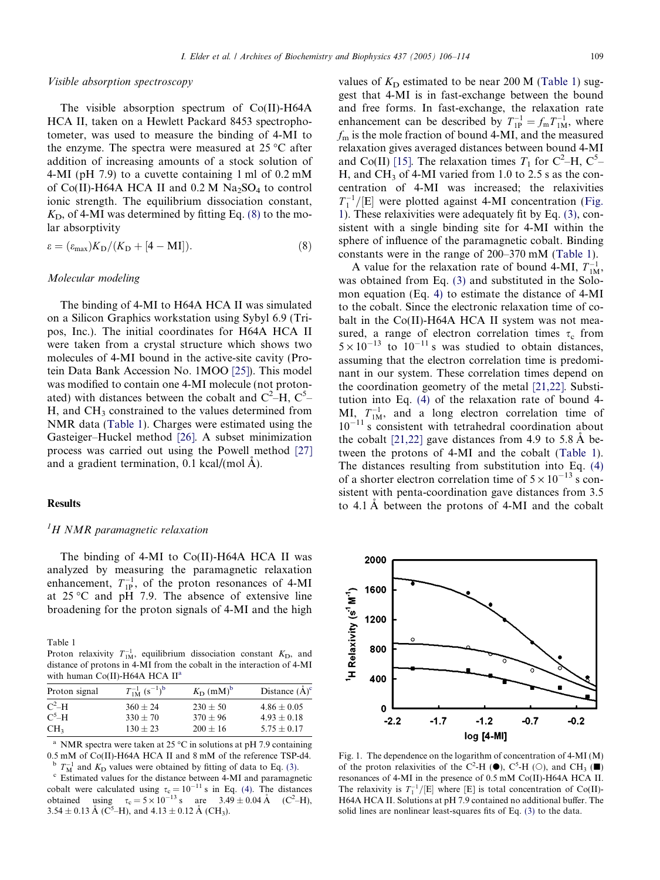#### <span id="page-3-0"></span>Visible absorption spectroscopy

The visible absorption spectrum of Co(II)-H64A HCA II, taken on a Hewlett Packard 8453 spectrophotometer, was used to measure the binding of 4-MI to the enzyme. The spectra were measured at  $25^{\circ}$ C after addition of increasing amounts of a stock solution of 4-MI (pH 7.9) to a cuvette containing 1 ml of 0.2 mM of Co(II)-H64A HCA II and  $0.2$  M Na<sub>2</sub>SO<sub>4</sub> to control ionic strength. The equilibrium dissociation constant,  $K<sub>D</sub>$ , of 4-MI was determined by fitting Eq. (8) to the molar absorptivity

$$
\varepsilon = (\varepsilon_{\text{max}})K_{\text{D}}/(K_{\text{D}} + [4 - \text{MI}]). \tag{8}
$$

#### Molecular modeling

The binding of 4-MI to H64A HCA II was simulated on a Silicon Graphics workstation using Sybyl 6.9 (Tripos, Inc.). The initial coordinates for H64A HCA II were taken from a crystal structure which shows two molecules of 4-MI bound in the active-site cavity (Protein Data Bank Accession No. 1MOO [\[25\]\)](#page-8-0). This model was modified to contain one 4-MI molecule (not protonated) with distances between the cobalt and  $C^2-H$ ,  $C^5$ H, and CH<sub>3</sub> constrained to the values determined from NMR data (Table 1). Charges were estimated using the Gasteiger–Huckel method [\[26\]](#page-8-0). A subset minimization process was carried out using the Powell method [\[27\]](#page-8-0) and a gradient termination,  $0.1 \text{ kcal/(mol A)}$ .

#### Results

# ${}^{1}H$  NMR paramagnetic relaxation

The binding of 4-MI to Co(II)-H64A HCA II was analyzed by measuring the paramagnetic relaxation enhancement,  $T_{1P}^{-1}$ , of the proton resonances of 4-MI at  $25^{\circ}$ C and pH 7.9. The absence of extensive line broadening for the proton signals of 4-MI and the high

Table 1

Proton relaxivity  $T_{1M}^{-1}$ , equilibrium dissociation constant  $K_{D}$ , and distance of protons in 4-MI from the cobalt in the interaction of 4-MI with human Co(II)-H64A HCA II<sup>a</sup>

| Proton signal   | $T_{1M}^{-1}$ $(s^{-1})^b$ | $K_{\text{D}}$ (mM) <sup>b</sup> | Distance $(\AA)^c$ |
|-----------------|----------------------------|----------------------------------|--------------------|
| $C^2-H$         | $360 + 24$                 | $230 + 50$                       | $4.86 + 0.05$      |
| $C^5-H$         | $330 + 70$                 | $370 + 96$                       | $4.93 + 0.18$      |
| CH <sub>3</sub> | $130 + 23$                 | $200 + 16$                       | $5.75 + 0.17$      |

<sup>a</sup> NMR spectra were taken at 25 °C in solutions at pH 7.9 containing 0.5 mM of Co(II)-H64A HCA II and 8 mM of the reference TSP-d4.  $T_{\rm M}^{-1}$  and  $K_{\rm D}$  values were obtained by fitting of data to Eq. (3).

 $\degree$  Estimated values for the distance between 4-MI and paramagnetic cobalt were calculated using  $\tau_c = 10^{-11}$  s in Eq. [\(4\)](#page-2-0). The distances obtained using  $\tau_c = 5 \times 10^{-13} \text{ s}$  are  $3.49 \pm 0.04 \text{ Å}$  (C<sup>2</sup>-H), 3.54  $\pm$  0.13 Å (C<sup>5</sup>–H), and 4.13  $\pm$  0.12 Å (CH<sub>3</sub>).

values of  $K<sub>D</sub>$  estimated to be near 200 M (Table 1) suggest that 4-MI is in fast-exchange between the bound and free forms. In fast-exchange, the relaxation rate enhancement can be described by  $T_{1P}^{-1} = f_m T_{1M}^{-1}$ , where  $f<sub>m</sub>$  is the mole fraction of bound 4-MI, and the measured relaxation gives averaged distances between bound 4-MI and Co(II) [\[15\].](#page-8-0) The relaxation times  $T_1$  for C<sup>2</sup>–H, C<sup>5</sup>– H, and  $CH_3$  of 4-MI varied from 1.0 to 2.5 s as the concentration of 4-MI was increased; the relaxivities  $T_1^{-1}/[E]$  were plotted against 4-MI concentration (Fig. 1). These relaxivities were adequately fit by Eq. [\(3\)](#page-2-0), consistent with a single binding site for 4-MI within the sphere of influence of the paramagnetic cobalt. Binding constants were in the range of 200–370 mM (Table 1).

A value for the relaxation rate of bound 4-MI,  $T_{1M}^{-1}$ , was obtained from Eq. [\(3\)](#page-2-0) and substituted in the Solomon equation (Eq. [4\)](#page-2-0) to estimate the distance of 4-MI to the cobalt. Since the electronic relaxation time of cobalt in the Co(II)-H64A HCA II system was not measured, a range of electron correlation times  $\tau_c$  from  $5 \times 10^{-13}$  to  $10^{-11}$  s was studied to obtain distances, assuming that the electron correlation time is predominant in our system. These correlation times depend on the coordination geometry of the metal [\[21,22\].](#page-8-0) Substitution into Eq. [\(4\)](#page-2-0) of the relaxation rate of bound 4-  $MI_{1}T_{1M}^{-1}$ , and a long electron correlation time of  $10^{-11}$  s consistent with tetrahedral coordination about the cobalt  $[21,22]$  gave distances from 4.9 to 5.8 Å between the protons of 4-MI and the cobalt (Table 1). The distances resulting from substitution into Eq. [\(4\)](#page-2-0) of a shorter electron correlation time of  $5 \times 10^{-13}$  s consistent with penta-coordination gave distances from 3.5 to 4.1 Å between the protons of 4-MI and the cobalt



Fig. 1. The dependence on the logarithm of concentration of 4-MI (M) of the proton relaxivities of the C<sup>2</sup>-H ( $\bullet$ ), C<sup>5</sup>-H ( $\circ$ ), and CH<sub>3</sub> ( $\blacksquare$ ) resonances of 4-MI in the presence of 0.5 mM Co(II)-H64A HCA II. The relaxivity is  $T_1^{-1}/[E]$  where [E] is total concentration of Co(II)-H64A HCA II. Solutions at pH 7.9 contained no additional buffer. The solid lines are nonlinear least-squares fits of Eq. [\(3\)](#page-2-0) to the data.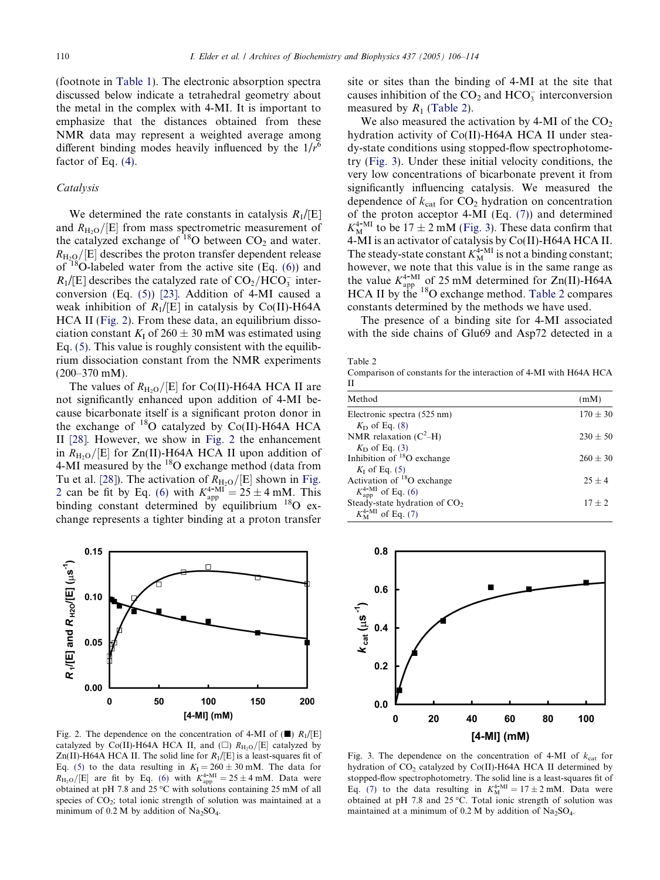<span id="page-4-0"></span>(footnote in [Table 1](#page-3-0)). The electronic absorption spectra discussed below indicate a tetrahedral geometry about the metal in the complex with 4-MI. It is important to emphasize that the distances obtained from these NMR data may represent a weighted average among different binding modes heavily influenced by the  $1/r^6$ factor of Eq. [\(4\)](#page-2-0).

#### **Catalysis**

We determined the rate constants in catalysis  $R_1/[E]$ and  $R_{\text{H}_2\text{O}}/[E]$  from mass spectrometric measurement of the catalyzed exchange of  $^{18}$ O between CO<sub>2</sub> and water.  $R_{\text{H}_2\text{Q}}/[{\text{E}}]$  describes the proton transfer dependent release of  $18$ O-labeled water from the active site (Eq. [\(6\)](#page-2-0)) and  $R_1$ /[E] describes the catalyzed rate of  $CO_2/HCO_3^-$  interconversion (Eq. [\(5\)](#page-2-0)) [\[23\].](#page-8-0) Addition of 4-MI caused a weak inhibition of  $R_1/[\text{E}]$  in catalysis by Co(II)-H64A HCA II (Fig. 2). From these data, an equilibrium dissociation constant  $K_I$  of 260  $\pm$  30 mM was estimated using Eq. [\(5\).](#page-2-0) This value is roughly consistent with the equilibrium dissociation constant from the NMR experiments (200–370 mM).

The values of  $R_{\text{H}_2\text{O}}/[E]$  for Co(II)-H64A HCA II are not significantly enhanced upon addition of 4-MI because bicarbonate itself is a significant proton donor in the exchange of  $^{18}O$  catalyzed by Co(II)-H64A HCA II [\[28\]](#page-8-0). However, we show in Fig. 2 the enhancement in  $R_{\text{H}_2\text{O}}/[E]$  for Zn(II)-H64A HCA II upon addition of 4-MI measured by the  $^{18}$ O exchange method (data from Tu et al. [\[28\]](#page-8-0)). The activation of  $R_{\text{H}_2\text{O}}/[E]$  shown in Fig. 2 can be fit by Eq. [\(6\)](#page-2-0) with  $K_{app}^{4-MI} = 25 \pm 4$  mM. This binding constant determined by equilibrium  $^{18}$ O exchange represents a tighter binding at a proton transfer



Fig. 2. The dependence on the concentration of 4-MI of  $(\blacksquare)$   $R_1/[\blacksquare]$ catalyzed by Co(II)-H64A HCA II, and  $(\Box)$   $R_{\text{H}_2\text{O}}/[E]$  catalyzed by Zn(II)-H64A HCA II. The solid line for  $R_1/[\text{E}]$  is a least-squares fit of Eq. [\(5\)](#page-2-0) to the data resulting in  $K_I = 260 \pm 30$  mM. The data for  $R_{\text{H}_2\text{O}}/[E]$  are fit by Eq. [\(6\)](#page-2-0) with  $K_{\text{app}}^{4-\text{MI}} = 25 \pm 4 \text{ mM}$ . Data were obtained at pH 7.8 and 25  $\degree$ C with solutions containing 25 mM of all species of  $CO<sub>2</sub>$ ; total ionic strength of solution was maintained at a minimum of  $0.2$  M by addition of Na<sub>2</sub>SO<sub>4</sub>.

site or sites than the binding of 4-MI at the site that causes inhibition of the  $CO<sub>2</sub>$  and  $HCO<sub>3</sub><sup>-</sup>$  interconversion measured by  $R_1$  (Table 2).

We also measured the activation by 4-MI of the  $CO<sub>2</sub>$ hydration activity of Co(II)-H64A HCA II under steady-state conditions using stopped-flow spectrophotometry (Fig. 3). Under these initial velocity conditions, the very low concentrations of bicarbonate prevent it from significantly influencing catalysis. We measured the dependence of  $k_{\text{cat}}$  for CO<sub>2</sub> hydration on concentration of the proton acceptor 4-MI (Eq. [\(7\)\)](#page-2-0) and determined  $K_{\text{M}}^{4-\text{MI}}$  to be 17  $\pm$  2 mM (Fig. 3). These data confirm that 4-MI is an activator of catalysis by Co(II)-H64A HCA II. The steady-state constant  $K_{\text{M}}^{4-\text{MI}}$  is not a binding constant; however, we note that this value is in the same range as the value  $K_{app}^{4-MI}$  of 25 mM determined for Zn(II)-H64A HCA II by the  $^{18}$ O exchange method. Table 2 compares constants determined by the methods we have used.

The presence of a binding site for 4-MI associated with the side chains of Glu69 and Asp72 detected in a

Table 2

Comparison of constants for the interaction of 4-MI with H64A HCA II

| Method                                    | (mM)         |
|-------------------------------------------|--------------|
| Electronic spectra (525 nm)               | $170 \pm 30$ |
| $K_D$ of Eq. (8)                          |              |
| NMR relaxation $(C^2-H)$                  | $230 + 50$   |
| $K_D$ of Eq. (3)                          |              |
| Inhibition of <sup>18</sup> O exchange    | $260 + 30$   |
| $K_I$ of Eq. (5)                          |              |
| Activation of ${}^{18}O$ exchange         | $25 + 4$     |
| $K_{\rm app}^{4-MI}$ of Eq. (6)           |              |
| Steady-state hydration of CO <sub>2</sub> | $17 + 2$     |
| $K_{\rm M}^{4-{\rm MI}}$ of Eq. (7)       |              |



Fig. 3. The dependence on the concentration of 4-MI of  $k_{cat}$  for hydration of  $CO<sub>2</sub>$  catalyzed by  $Co(II)$ -H64A HCA II determined by stopped-flow spectrophotometry. The solid line is a least-squares fit of Eq. [\(7\)](#page-2-0) to the data resulting in  $K_{\text{M}}^{4-\text{MI}} = 17 \pm 2 \text{ mM}$ . Data were obtained at pH 7.8 and 25 °C. Total ionic strength of solution was maintained at a minimum of  $0.2$  M by addition of Na<sub>2</sub>SO<sub>4</sub>.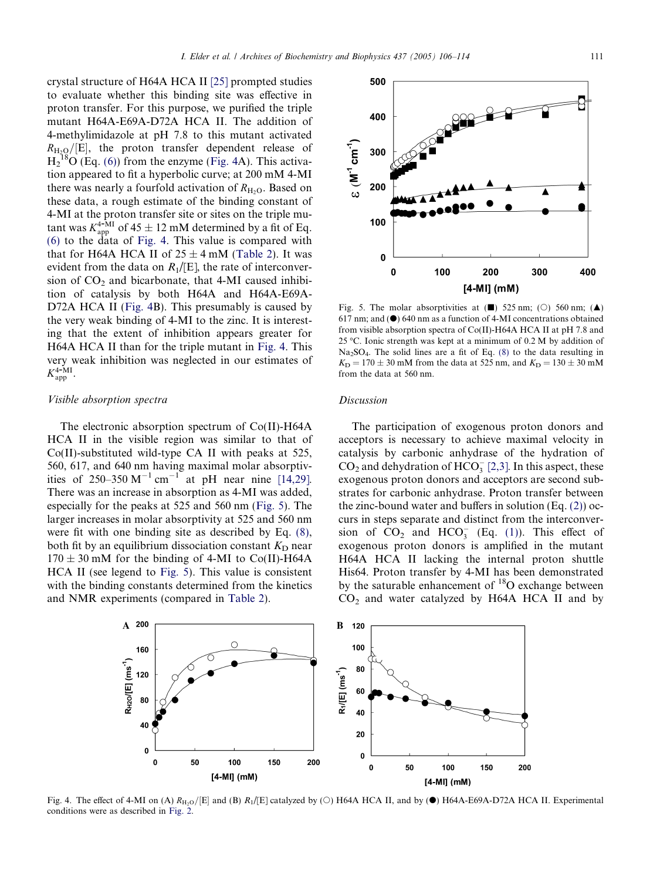<span id="page-5-0"></span>crystal structure of H64A HCA II [\[25\]](#page-8-0) prompted studies to evaluate whether this binding site was effective in proton transfer. For this purpose, we purified the triple mutant H64A-E69A-D72A HCA II. The addition of 4-methylimidazole at pH 7.8 to this mutant activated  $R_{\rm H_2O}/[{\rm E}]$ , the proton transfer dependent release of  $H_2^{18}O$  (Eq. [\(6\)](#page-2-0)) from the enzyme (Fig. 4A). This activation appeared to fit a hyperbolic curve; at 200 mM 4-MI there was nearly a fourfold activation of  $R_{\text{H}_2O}$ . Based on these data, a rough estimate of the binding constant of 4-MI at the proton transfer site or sites on the triple mutant was  $K_{app}^{4-MI}$  of 45  $\pm$  12 mM determined by a fit of Eq. [\(6\)](#page-2-0) to the data of Fig. 4. This value is compared with that for H64A HCA II of  $25 \pm 4$  mM [\(Table 2\)](#page-4-0). It was evident from the data on  $R_1/[\text{E}]$ , the rate of interconversion of  $CO<sub>2</sub>$  and bicarbonate, that 4-MI caused inhibition of catalysis by both H64A and H64A-E69A-D72A HCA II (Fig. 4B). This presumably is caused by the very weak binding of 4-MI to the zinc. It is interesting that the extent of inhibition appears greater for H64A HCA II than for the triple mutant in Fig. 4. This very weak inhibition was neglected in our estimates of  $K_{\rm app}^{4-MI}$ .

## Visible absorption spectra

The electronic absorption spectrum of Co(II)-H64A HCA II in the visible region was similar to that of Co(II)-substituted wild-type CA II with peaks at 525, 560, 617, and 640 nm having maximal molar absorptivities of 250–350  $M^{-1}$  cm<sup>-1</sup> at pH near nine [\[14,29\].](#page-8-0) There was an increase in absorption as 4-MI was added, especially for the peaks at 525 and 560 nm (Fig. 5). The larger increases in molar absorptivity at 525 and 560 nm were fit with one binding site as described by Eq. [\(8\),](#page-3-0) both fit by an equilibrium dissociation constant  $K_D$  near  $170 \pm 30$  mM for the binding of 4-MI to Co(II)-H64A HCA II (see legend to Fig. 5). This value is consistent with the binding constants determined from the kinetics and NMR experiments (compared in [Table 2](#page-4-0)).

Fig. 5. The molar absorptivities at  $(\blacksquare)$  525 nm; ( $\bigcirc$ ) 560 nm;  $(\blacktriangle)$ 617 nm; and  $(①)$  640 nm as a function of 4-MI concentrations obtained from visible absorption spectra of Co(II)-H64A HCA II at pH 7.8 and 25 °C. Ionic strength was kept at a minimum of  $0.2 M$  by addition of  $Na<sub>2</sub>SO<sub>4</sub>$ . The solid lines are a fit of Eq. [\(8\)](#page-3-0) to the data resulting in  $K_{\text{D}} = 170 \pm 30 \text{ mM}$  from the data at 525 nm, and  $K_{\text{D}} = 130 \pm 30 \text{ mM}$ from the data at 560 nm.

# Discussion

The participation of exogenous proton donors and acceptors is necessary to achieve maximal velocity in catalysis by carbonic anhydrase of the hydration of  $CO<sub>2</sub>$  and dehydration of  $HCO<sub>3</sub><sup>-</sup>$  [\[2,3\]](#page-8-0). In this aspect, these exogenous proton donors and acceptors are second substrates for carbonic anhydrase. Proton transfer between the zinc-bound water and buffers in solution  $(Eq. (2))$  $(Eq. (2))$  occurs in steps separate and distinct from the interconversion of  $CO_2$  and  $HCO_3^-$  (Eq. [\(1\)\)](#page-0-0). This effect of exogenous proton donors is amplified in the mutant H64A HCA II lacking the internal proton shuttle His64. Proton transfer by 4-MI has been demonstrated by the saturable enhancement of  ${}^{18}$ O exchange between  $CO<sub>2</sub>$  and water catalyzed by H64A HCA II and by

Fig. 4. The effect of 4-MI on (A)  $R_{\text{H}_2\text{O}}/[E]$  and (B)  $R_1/[E]$  catalyzed by (O) H64A HCA II, and by ( $\bullet$ ) H64A-E69A-D72A HCA II. Experimental conditions were as described in [Fig. 2.](#page-4-0)



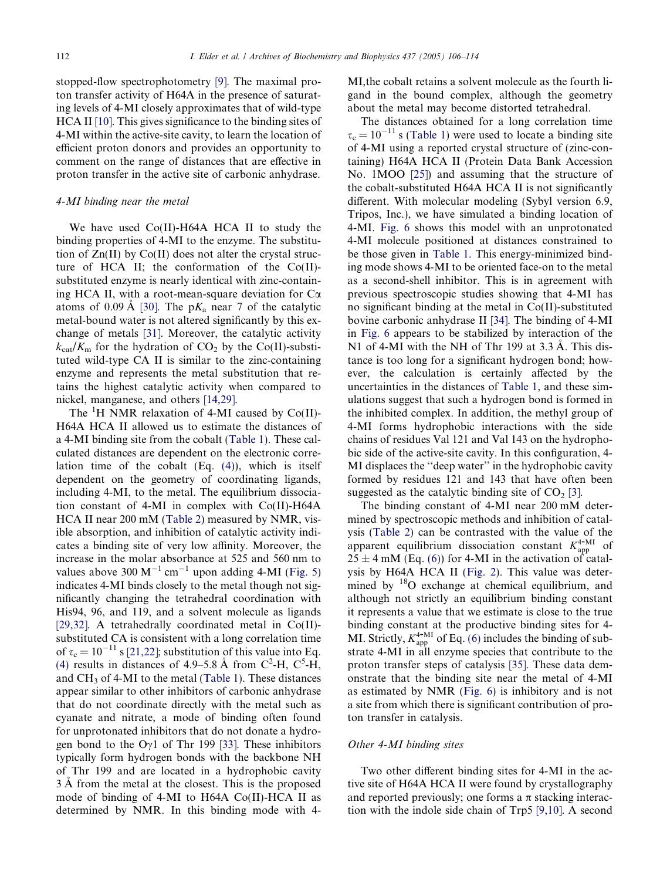stopped-flow spectrophotometry [\[9\]](#page-8-0). The maximal proton transfer activity of H64A in the presence of saturating levels of 4-MI closely approximates that of wild-type HCA II [\[10\].](#page-8-0) This gives significance to the binding sites of 4-MI within the active-site cavity, to learn the location of efficient proton donors and provides an opportunity to comment on the range of distances that are effective in proton transfer in the active site of carbonic anhydrase.

# 4-MI binding near the metal

We have used Co(II)-H64A HCA II to study the binding properties of 4-MI to the enzyme. The substitution of Zn(II) by Co(II) does not alter the crystal structure of HCA II; the conformation of the Co(II) substituted enzyme is nearly identical with zinc-containing HCA II, with a root-mean-square deviation for  $Ca$ atoms of 0.09 Å [\[30\].](#page-8-0) The  $pK_a$  near 7 of the catalytic metal-bound water is not altered significantly by this exchange of metals [\[31\].](#page-8-0) Moreover, the catalytic activity  $k_{\text{cat}}/K_{\text{m}}$  for the hydration of CO<sub>2</sub> by the Co(II)-substituted wild-type CA II is similar to the zinc-containing enzyme and represents the metal substitution that retains the highest catalytic activity when compared to nickel, manganese, and others [\[14,29\].](#page-8-0)

The  ${}^{1}H$  NMR relaxation of 4-MI caused by Co(II)-H64A HCA II allowed us to estimate the distances of a 4-MI binding site from the cobalt ([Table 1](#page-3-0)). These calculated distances are dependent on the electronic correlation time of the cobalt (Eq. [\(4\)\)](#page-2-0), which is itself dependent on the geometry of coordinating ligands, including 4-MI, to the metal. The equilibrium dissociation constant of 4-MI in complex with Co(II)-H64A HCA II near 200 mM ([Table 2](#page-4-0)) measured by NMR, visible absorption, and inhibition of catalytic activity indicates a binding site of very low affinity. Moreover, the increase in the molar absorbance at 525 and 560 nm to values above 300  $M^{-1}$  cm<sup>-1</sup> upon adding 4-MI ([Fig. 5](#page-5-0)) indicates 4-MI binds closely to the metal though not significantly changing the tetrahedral coordination with His94, 96, and 119, and a solvent molecule as ligands [\[29,32\].](#page-8-0) A tetrahedrally coordinated metal in Co(II) substituted CA is consistent with a long correlation time of  $\tau_c = 10^{-11}$  s [\[21,22\]](#page-8-0); substitution of this value into Eq. [\(4\)](#page-2-0) results in distances of 4.9–5.8 Å from  $C^2$ -H,  $C^5$ -H, and  $CH<sub>3</sub>$  of 4-MI to the metal ([Table 1](#page-3-0)). These distances appear similar to other inhibitors of carbonic anhydrase that do not coordinate directly with the metal such as cyanate and nitrate, a mode of binding often found for unprotonated inhibitors that do not donate a hydrogen bond to the  $Oy1$  of Thr 199 [\[33\]](#page-8-0). These inhibitors typically form hydrogen bonds with the backbone NH of Thr 199 and are located in a hydrophobic cavity 3 A from the metal at the closest. This is the proposed mode of binding of 4-MI to H64A Co(II)-HCA II as determined by NMR. In this binding mode with 4MI,the cobalt retains a solvent molecule as the fourth ligand in the bound complex, although the geometry about the metal may become distorted tetrahedral.

The distances obtained for a long correlation time  $\tau_c = 10^{-11}$  s [\(Table 1](#page-3-0)) were used to locate a binding site of 4-MI using a reported crystal structure of (zinc-containing) H64A HCA II (Protein Data Bank Accession No. 1MOO [\[25\]\)](#page-8-0) and assuming that the structure of the cobalt-substituted H64A HCA II is not significantly different. With molecular modeling (Sybyl version 6.9, Tripos, Inc.), we have simulated a binding location of 4-MI. [Fig. 6](#page-7-0) shows this model with an unprotonated 4-MI molecule positioned at distances constrained to be those given in [Table 1.](#page-3-0) This energy-minimized binding mode shows 4-MI to be oriented face-on to the metal as a second-shell inhibitor. This is in agreement with previous spectroscopic studies showing that 4-MI has no significant binding at the metal in Co(II)-substituted bovine carbonic anhydrase II [\[34\].](#page-8-0) The binding of 4-MI in [Fig. 6](#page-7-0) appears to be stabilized by interaction of the N1 of 4-MI with the NH of Thr 199 at  $3.3 \text{ Å}$ . This distance is too long for a significant hydrogen bond; however, the calculation is certainly affected by the uncertainties in the distances of [Table 1](#page-3-0), and these simulations suggest that such a hydrogen bond is formed in the inhibited complex. In addition, the methyl group of 4-MI forms hydrophobic interactions with the side chains of residues Val 121 and Val 143 on the hydrophobic side of the active-site cavity. In this configuration, 4- MI displaces the ''deep water'' in the hydrophobic cavity formed by residues 121 and 143 that have often been suggested as the catalytic binding site of  $CO<sub>2</sub>$  [\[3\]](#page-8-0).

The binding constant of 4-MI near 200 mM determined by spectroscopic methods and inhibition of catalysis ([Table 2\)](#page-4-0) can be contrasted with the value of the apparent equilibrium dissociation constant  $K_{\text{app}}^{4-\text{MI}}$  of  $25 \pm 4$  mM (Eq. [\(6\)\)](#page-2-0) for 4-MI in the activation of catalysis by H64A HCA II [\(Fig. 2](#page-4-0)). This value was determined by  $18$ O exchange at chemical equilibrium, and although not strictly an equilibrium binding constant it represents a value that we estimate is close to the true binding constant at the productive binding sites for 4- MI. Strictly,  $K_{app}^{4-MI}$  of Eq. [\(6\)](#page-2-0) includes the binding of substrate 4-MI in all enzyme species that contribute to the proton transfer steps of catalysis [\[35\]](#page-8-0). These data demonstrate that the binding site near the metal of 4-MI as estimated by NMR [\(Fig. 6](#page-7-0)) is inhibitory and is not a site from which there is significant contribution of proton transfer in catalysis.

#### Other 4-MI binding sites

Two other different binding sites for 4-MI in the active site of H64A HCA II were found by crystallography and reported previously; one forms a  $\pi$  stacking interaction with the indole side chain of Trp5 [\[9,10\].](#page-8-0) A second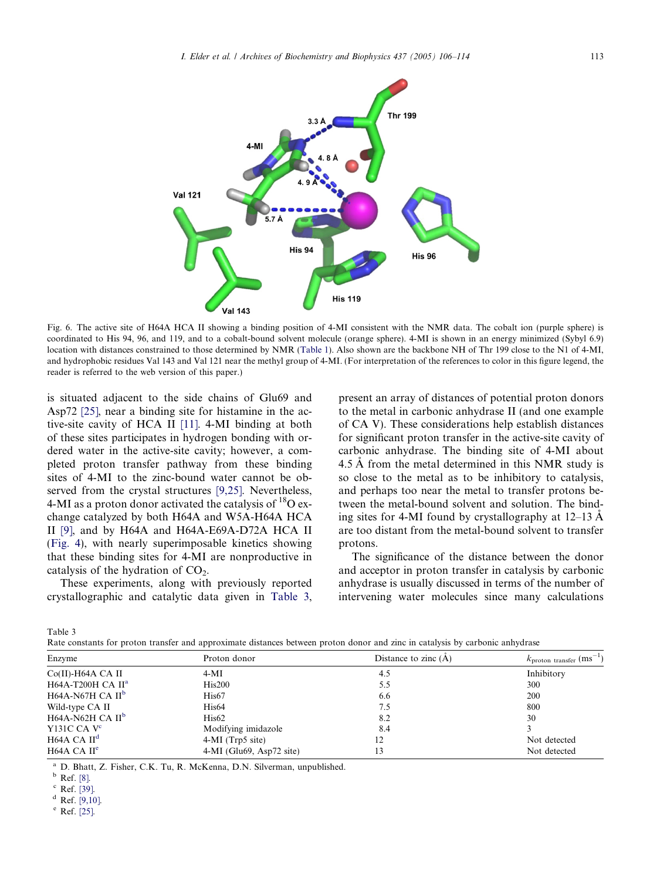<span id="page-7-0"></span>

Fig. 6. The active site of H64A HCA II showing a binding position of 4-MI consistent with the NMR data. The cobalt ion (purple sphere) is coordinated to His 94, 96, and 119, and to a cobalt-bound solvent molecule (orange sphere). 4-MI is shown in an energy minimized (Sybyl 6.9) location with distances constrained to those determined by NMR ([Table 1\)](#page-3-0). Also shown are the backbone NH of Thr 199 close to the N1 of 4-MI, and hydrophobic residues Val 143 and Val 121 near the methyl group of 4-MI. (For interpretation of the references to color in this figure legend, the reader is referred to the web version of this paper.)

is situated adjacent to the side chains of Glu69 and Asp72 [\[25\]](#page-8-0), near a binding site for histamine in the active-site cavity of HCA II [\[11\]](#page-8-0). 4-MI binding at both of these sites participates in hydrogen bonding with ordered water in the active-site cavity; however, a completed proton transfer pathway from these binding sites of 4-MI to the zinc-bound water cannot be observed from the crystal structures [\[9,25\]](#page-8-0). Nevertheless, 4-MI as a proton donor activated the catalysis of  ${}^{18}O$  exchange catalyzed by both H64A and W5A-H64A HCA II [\[9\]](#page-8-0), and by H64A and H64A-E69A-D72A HCA II ([Fig. 4\)](#page-5-0), with nearly superimposable kinetics showing that these binding sites for 4-MI are nonproductive in catalysis of the hydration of  $CO<sub>2</sub>$ .

These experiments, along with previously reported crystallographic and catalytic data given in Table 3, present an array of distances of potential proton donors to the metal in carbonic anhydrase II (and one example of CA V). These considerations help establish distances for significant proton transfer in the active-site cavity of carbonic anhydrase. The binding site of 4-MI about 4.5 Å from the metal determined in this NMR study is so close to the metal as to be inhibitory to catalysis, and perhaps too near the metal to transfer protons between the metal-bound solvent and solution. The binding sites for 4-MI found by crystallography at  $12-13 \text{ Å}$ are too distant from the metal-bound solvent to transfer protons.

The significance of the distance between the donor and acceptor in proton transfer in catalysis by carbonic anhydrase is usually discussed in terms of the number of intervening water molecules since many calculations

Table 3

| Rate constants for proton transfer and approximate distances between proton donor and zinc in catalysis by carbonic anhydrase |  |  |  |  |  |  |  |  |  |
|-------------------------------------------------------------------------------------------------------------------------------|--|--|--|--|--|--|--|--|--|
|                                                                                                                               |  |  |  |  |  |  |  |  |  |
|                                                                                                                               |  |  |  |  |  |  |  |  |  |
|                                                                                                                               |  |  |  |  |  |  |  |  |  |

| Enzyme                  | Proton donor               | Distance to zinc $(A)$ | $k_{\text{proton transfer}}$ (ms <sup>-1</sup> ) |  |  |
|-------------------------|----------------------------|------------------------|--------------------------------------------------|--|--|
| $Co(II)$ -H64A CA II    | $4-MI$                     | 4.5                    | Inhibitory                                       |  |  |
| H64A-T200H CA $II^a$    | His200                     | 5.5                    | 300                                              |  |  |
| H64A-N67H CA $II^b$     | His <sub>67</sub>          | 6.6                    | <b>200</b>                                       |  |  |
| Wild-type CA II         | His <sub>64</sub>          | 7.5                    | 800                                              |  |  |
| H64A-N62H CA $II^b$     | His62                      | 8.2                    | 30                                               |  |  |
| Y131C CA $V^c$          | Modifying imidazole        | 8.4                    |                                                  |  |  |
| H64A CA II <sup>d</sup> | $4-MI$ (Trp5 site)         | 12                     | Not detected                                     |  |  |
| H64A CA II <sup>e</sup> | $4-MI$ (Glu69, Asp72 site) | 13                     | Not detected                                     |  |  |

<sup>a</sup> D. Bhatt, Z. Fisher, C.K. Tu, R. McKenna, D.N. Silverman, unpublished.

 $d$  Ref. [\[9,10\].](#page-8-0)

<sup>e</sup> Ref. [\[25\].](#page-8-0)

 $\frac{b}{c}$  Ref. [\[8\].](#page-8-0)<br> $\frac{c}{c}$  Ref. [39].